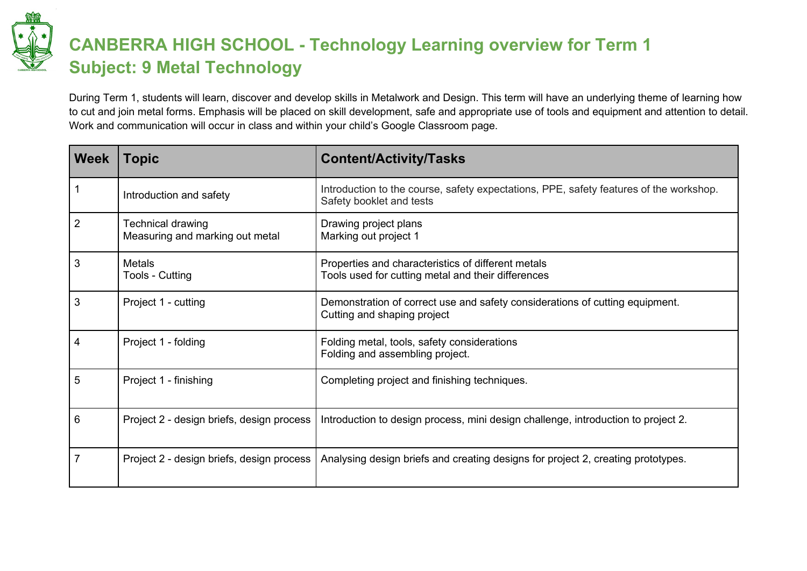

## **CANBERRA HIGH SCHOOL - Technology Learning overview for Term 1 Subject: 9 Metal Technology**

During Term 1, students will learn, discover and develop skills in Metalwork and Design. This term will have an underlying theme of learning how to cut and join metal forms. Emphasis will be placed on skill development, safe and appropriate use of tools and equipment and attention to detail. Work and communication will occur in class and within your child's Google Classroom page.

| <b>Week</b> | <b>Topic</b>                                         | <b>Content/Activity/Tasks</b>                                                                                      |
|-------------|------------------------------------------------------|--------------------------------------------------------------------------------------------------------------------|
|             | Introduction and safety                              | Introduction to the course, safety expectations, PPE, safety features of the workshop.<br>Safety booklet and tests |
| 2           | Technical drawing<br>Measuring and marking out metal | Drawing project plans<br>Marking out project 1                                                                     |
| 3           | <b>Metals</b><br>Tools - Cutting                     | Properties and characteristics of different metals<br>Tools used for cutting metal and their differences           |
| 3           | Project 1 - cutting                                  | Demonstration of correct use and safety considerations of cutting equipment.<br>Cutting and shaping project        |
| 4           | Project 1 - folding                                  | Folding metal, tools, safety considerations<br>Folding and assembling project.                                     |
| 5           | Project 1 - finishing                                | Completing project and finishing techniques.                                                                       |
| 6           | Project 2 - design briefs, design process            | Introduction to design process, mini design challenge, introduction to project 2.                                  |
| 7           | Project 2 - design briefs, design process            | Analysing design briefs and creating designs for project 2, creating prototypes.                                   |